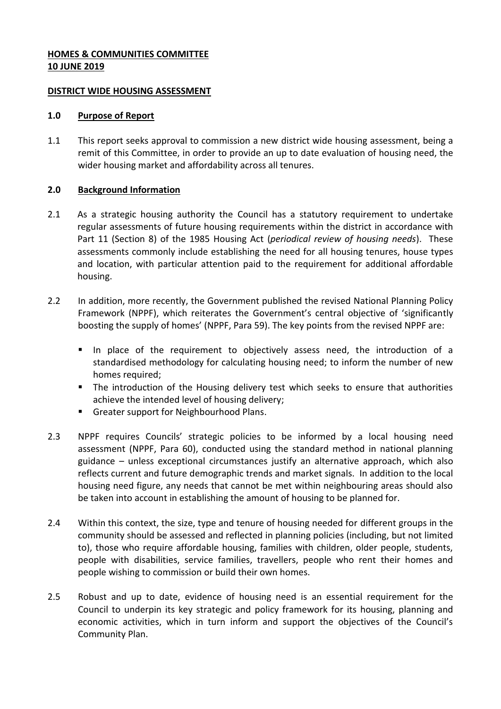# **HOMES & COMMUNITIES COMMITTEE 10 JUNE 2019**

### **DISTRICT WIDE HOUSING ASSESSMENT**

#### **1.0 Purpose of Report**

1.1 This report seeks approval to commission a new district wide housing assessment, being a remit of this Committee, in order to provide an up to date evaluation of housing need, the wider housing market and affordability across all tenures.

## **2.0 Background Information**

- 2.1 As a strategic housing authority the Council has a statutory requirement to undertake regular assessments of future housing requirements within the district in accordance with Part 11 (Section 8) of the 1985 Housing Act (*periodical review of housing needs*). These assessments commonly include establishing the need for all housing tenures, house types and location, with particular attention paid to the requirement for additional affordable housing.
- 2.2 In addition, more recently, the Government published the revised National Planning Policy Framework (NPPF), which reiterates the Government's central objective of 'significantly boosting the supply of homes' (NPPF, Para 59). The key points from the revised NPPF are:
	- In place of the requirement to objectively assess need, the introduction of a standardised methodology for calculating housing need; to inform the number of new homes required;
	- **The introduction of the Housing delivery test which seeks to ensure that authorities** achieve the intended level of housing delivery;
	- Greater support for Neighbourhood Plans.
- 2.3 NPPF requires Councils' strategic policies to be informed by a local housing need assessment (NPPF, Para 60), conducted using the standard method in national planning guidance – unless exceptional circumstances justify an alternative approach, which also reflects current and future demographic trends and market signals. In addition to the local housing need figure, any needs that cannot be met within neighbouring areas should also be taken into account in establishing the amount of housing to be planned for.
- 2.4 Within this context, the size, type and tenure of housing needed for different groups in the community should be assessed and reflected in planning policies (including, but not limited to), those who require affordable housing, families with children, older people, students, people with disabilities, service families, travellers, people who rent their homes and people wishing to commission or build their own homes.
- 2.5 Robust and up to date, evidence of housing need is an essential requirement for the Council to underpin its key strategic and policy framework for its housing, planning and economic activities, which in turn inform and support the objectives of the Council's Community Plan.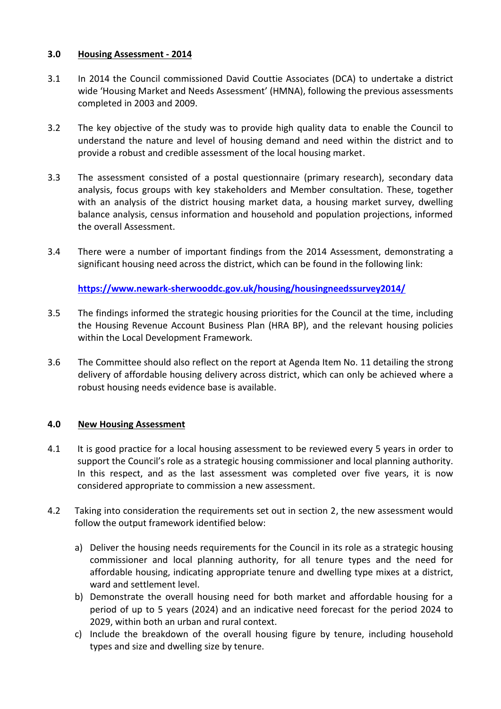# **3.0 Housing Assessment - 2014**

- 3.1 In 2014 the Council commissioned David Couttie Associates (DCA) to undertake a district wide 'Housing Market and Needs Assessment' (HMNA), following the previous assessments completed in 2003 and 2009.
- 3.2 The key objective of the study was to provide high quality data to enable the Council to understand the nature and level of housing demand and need within the district and to provide a robust and credible assessment of the local housing market.
- 3.3 The assessment consisted of a postal questionnaire (primary research), secondary data analysis, focus groups with key stakeholders and Member consultation. These, together with an analysis of the district housing market data, a housing market survey, dwelling balance analysis, census information and household and population projections, informed the overall Assessment.
- 3.4 There were a number of important findings from the 2014 Assessment, demonstrating a significant housing need across the district, which can be found in the following link:

**<https://www.newark-sherwooddc.gov.uk/housing/housingneedssurvey2014/>**

- 3.5 The findings informed the strategic housing priorities for the Council at the time, including the Housing Revenue Account Business Plan (HRA BP), and the relevant housing policies within the Local Development Framework.
- 3.6 The Committee should also reflect on the report at Agenda Item No. 11 detailing the strong delivery of affordable housing delivery across district, which can only be achieved where a robust housing needs evidence base is available.

# **4.0 New Housing Assessment**

- 4.1 It is good practice for a local housing assessment to be reviewed every 5 years in order to support the Council's role as a strategic housing commissioner and local planning authority. In this respect, and as the last assessment was completed over five years, it is now considered appropriate to commission a new assessment.
- 4.2 Taking into consideration the requirements set out in section 2, the new assessment would follow the output framework identified below:
	- a) Deliver the housing needs requirements for the Council in its role as a strategic housing commissioner and local planning authority, for all tenure types and the need for affordable housing, indicating appropriate tenure and dwelling type mixes at a district, ward and settlement level.
	- b) Demonstrate the overall housing need for both market and affordable housing for a period of up to 5 years (2024) and an indicative need forecast for the period 2024 to 2029, within both an urban and rural context.
	- c) Include the breakdown of the overall housing figure by tenure, including household types and size and dwelling size by tenure.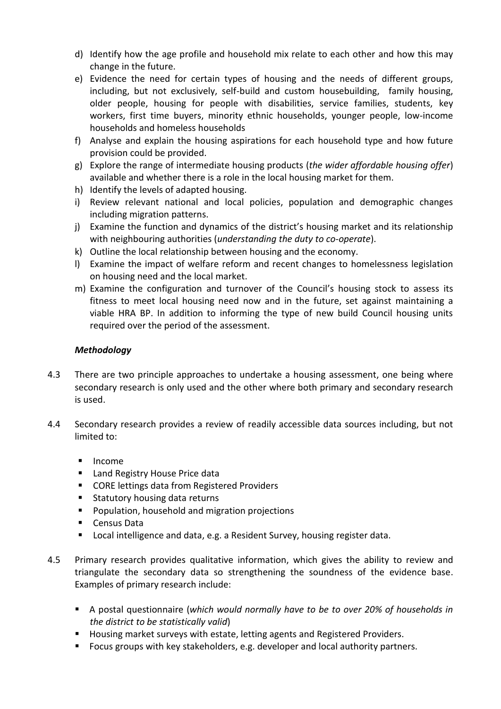- d) Identify how the age profile and household mix relate to each other and how this may change in the future.
- e) Evidence the need for certain types of housing and the needs of different groups, including, but not exclusively, self-build and custom housebuilding, family housing, older people, housing for people with disabilities, service families, students, key workers, first time buyers, minority ethnic households, younger people, low-income households and homeless households
- f) Analyse and explain the housing aspirations for each household type and how future provision could be provided.
- g) Explore the range of intermediate housing products (*the wider affordable housing offer*) available and whether there is a role in the local housing market for them.
- h) Identify the levels of adapted housing.
- i) Review relevant national and local policies, population and demographic changes including migration patterns.
- j) Examine the function and dynamics of the district's housing market and its relationship with neighbouring authorities (*understanding the duty to co-operate*).
- k) Outline the local relationship between housing and the economy.
- l) Examine the impact of welfare reform and recent changes to homelessness legislation on housing need and the local market.
- m) Examine the configuration and turnover of the Council's housing stock to assess its fitness to meet local housing need now and in the future, set against maintaining a viable HRA BP. In addition to informing the type of new build Council housing units required over the period of the assessment.

# *Methodology*

- 4.3 There are two principle approaches to undertake a housing assessment, one being where secondary research is only used and the other where both primary and secondary research is used.
- 4.4 Secondary research provides a review of readily accessible data sources including, but not limited to:
	- **Income**
	- **Land Registry House Price data**
	- CORE lettings data from Registered Providers
	- **Statutory housing data returns**
	- **Population, household and migration projections**
	- **Census Data**
	- **Local intelligence and data, e.g. a Resident Survey, housing register data.**
- 4.5 Primary research provides qualitative information, which gives the ability to review and triangulate the secondary data so strengthening the soundness of the evidence base. Examples of primary research include:
	- A postal questionnaire (*which would normally have to be to over 20% of households in the district to be statistically valid*)
	- **Housing market surveys with estate, letting agents and Registered Providers.**
	- Focus groups with key stakeholders, e.g. developer and local authority partners.